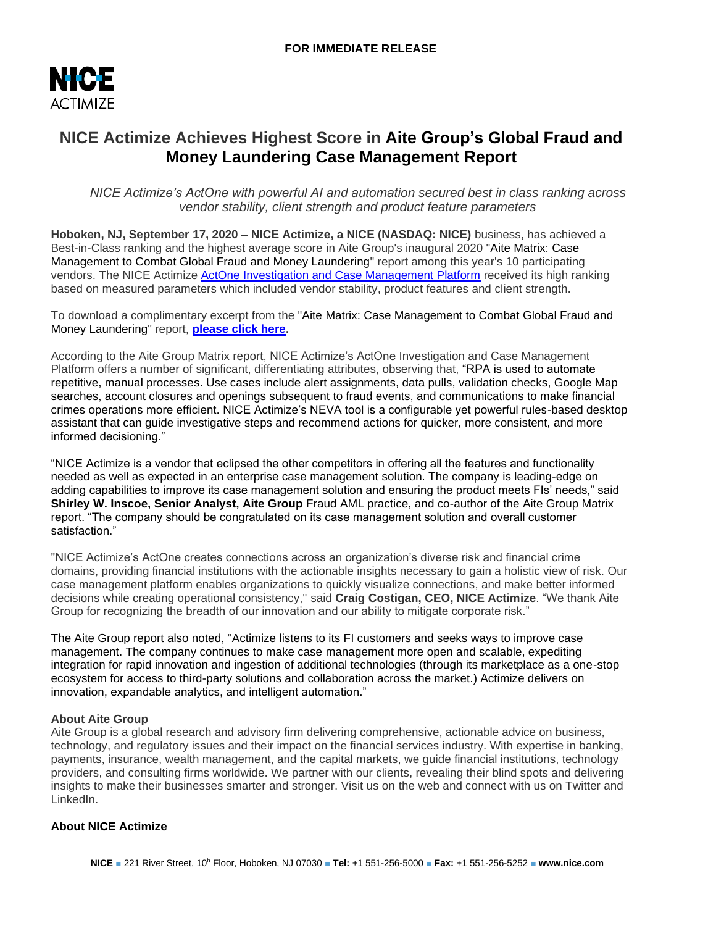

# **NICE Actimize Achieves Highest Score in Aite Group's Global Fraud and Money Laundering Case Management Report**

*NICE Actimize's ActOne with powerful AI and automation secured best in class ranking across vendor stability, client strength and product feature parameters*

**Hoboken, NJ, September 17, 2020 – NICE Actimize, a NICE (NASDAQ: NICE)** business, has achieved a Best-in-Class ranking and the highest average score in Aite Group's inaugural 2020 "Aite Matrix: Case Management to Combat Global Fraud and Money Laundering" report among this year's 10 participating vendors. The NICE Actimize [ActOne Investigation and Case Management Platform](https://www.niceactimize.com/enterprise-risk-case-management/) received its high ranking based on measured parameters which included vendor stability, product features and client strength.

To download a complimentary excerpt from the "Aite Matrix: Case Management to Combat Global Fraud and Money Laundering" report, **[please click here.](https://info.nice.com/ERCM_ContentLP_Aite_Matrix_2020.html)**

According to the Aite Group Matrix report, NICE Actimize's ActOne Investigation and Case Management Platform offers a number of significant, differentiating attributes, observing that, "RPA is used to automate repetitive, manual processes. Use cases include alert assignments, data pulls, validation checks, Google Map searches, account closures and openings subsequent to fraud events, and communications to make financial crimes operations more efficient. NICE Actimize's NEVA tool is a configurable yet powerful rules-based desktop assistant that can guide investigative steps and recommend actions for quicker, more consistent, and more informed decisioning."

"NICE Actimize is a vendor that eclipsed the other competitors in offering all the features and functionality needed as well as expected in an enterprise case management solution. The company is leading-edge on adding capabilities to improve its case management solution and ensuring the product meets FIs' needs," said **Shirley W. Inscoe, Senior Analyst, Aite Group** Fraud AML practice, and co-author of the Aite Group Matrix report. "The company should be congratulated on its case management solution and overall customer satisfaction."

"NICE Actimize's ActOne creates connections across an organization's diverse risk and financial crime domains, providing financial institutions with the actionable insights necessary to gain a holistic view of risk. Our case management platform enables organizations to quickly visualize connections, and make better informed decisions while creating operational consistency," said **Craig Costigan, CEO, NICE Actimize**. "We thank Aite Group for recognizing the breadth of our innovation and our ability to mitigate corporate risk."

The Aite Group report also noted, "Actimize listens to its FI customers and seeks ways to improve case management. The company continues to make case management more open and scalable, expediting integration for rapid innovation and ingestion of additional technologies (through its marketplace as a one-stop ecosystem for access to third-party solutions and collaboration across the market.) Actimize delivers on innovation, expandable analytics, and intelligent automation."

## **About Aite Group**

Aite Group is a global research and advisory firm delivering comprehensive, actionable advice on business, technology, and regulatory issues and their impact on the financial services industry. With expertise in banking, payments, insurance, wealth management, and the capital markets, we guide financial institutions, technology providers, and consulting firms worldwide. We partner with our clients, revealing their blind spots and delivering insights to make their businesses smarter and stronger. Visit us on the web and connect with us on Twitter and LinkedIn.

## **About NICE Actimize**